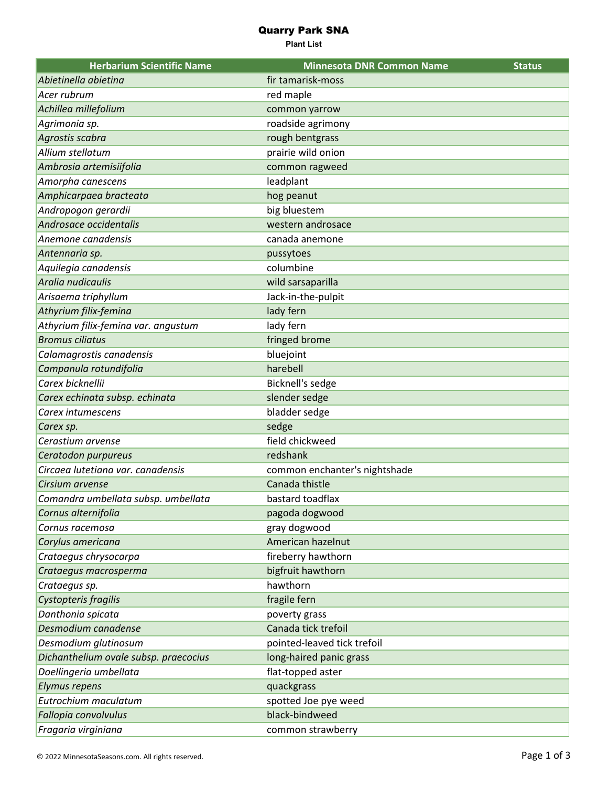## Quarry Park SNA

**Plant List**

| <b>Herbarium Scientific Name</b>      | <b>Minnesota DNR Common Name</b> | <b>Status</b> |
|---------------------------------------|----------------------------------|---------------|
| Abietinella abietina                  | fir tamarisk-moss                |               |
| Acer rubrum                           | red maple                        |               |
| Achillea millefolium                  | common yarrow                    |               |
| Agrimonia sp.                         | roadside agrimony                |               |
| Agrostis scabra                       | rough bentgrass                  |               |
| Allium stellatum                      | prairie wild onion               |               |
| Ambrosia artemisiifolia               | common ragweed                   |               |
| Amorpha canescens                     | leadplant                        |               |
| Amphicarpaea bracteata                | hog peanut                       |               |
| Andropogon gerardii                   | big bluestem                     |               |
| Androsace occidentalis                | western androsace                |               |
| Anemone canadensis                    | canada anemone                   |               |
| Antennaria sp.                        | pussytoes                        |               |
| Aquilegia canadensis                  | columbine                        |               |
| Aralia nudicaulis                     | wild sarsaparilla                |               |
| Arisaema triphyllum                   | Jack-in-the-pulpit               |               |
| Athyrium filix-femina                 | lady fern                        |               |
| Athyrium filix-femina var. angustum   | lady fern                        |               |
| <b>Bromus ciliatus</b>                | fringed brome                    |               |
| Calamagrostis canadensis              | bluejoint                        |               |
| Campanula rotundifolia                | harebell                         |               |
| Carex bicknellii                      | Bicknell's sedge                 |               |
| Carex echinata subsp. echinata        | slender sedge                    |               |
| Carex intumescens                     | bladder sedge                    |               |
| Carex sp.                             | sedge                            |               |
| Cerastium arvense                     | field chickweed                  |               |
| Ceratodon purpureus                   | redshank                         |               |
| Circaea lutetiana var. canadensis     | common enchanter's nightshade    |               |
| Cirsium arvense                       | Canada thistle                   |               |
| Comandra umbellata subsp. umbellata   | bastard toadflax                 |               |
| Cornus alternifolia                   | pagoda dogwood                   |               |
| Cornus racemosa                       | gray dogwood                     |               |
| Corylus americana                     | American hazelnut                |               |
| Crataegus chrysocarpa                 | fireberry hawthorn               |               |
| Crataegus macrosperma                 | bigfruit hawthorn                |               |
| Crataegus sp.                         | hawthorn                         |               |
| Cystopteris fragilis                  | fragile fern                     |               |
| Danthonia spicata                     | poverty grass                    |               |
| Desmodium canadense                   | Canada tick trefoil              |               |
| Desmodium glutinosum                  | pointed-leaved tick trefoil      |               |
| Dichanthelium ovale subsp. praecocius | long-haired panic grass          |               |
| Doellingeria umbellata                | flat-topped aster                |               |
| Elymus repens                         | quackgrass                       |               |
| Eutrochium maculatum                  | spotted Joe pye weed             |               |
| Fallopia convolvulus                  | black-bindweed                   |               |
| Fragaria virginiana                   | common strawberry                |               |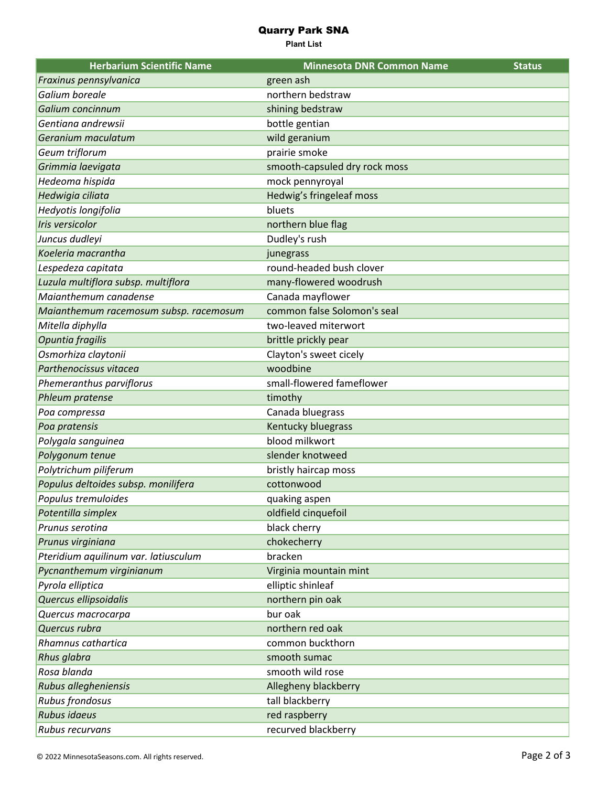## Quarry Park SNA

**Plant List**

| <b>Herbarium Scientific Name</b>       | <b>Minnesota DNR Common Name</b> | <b>Status</b> |
|----------------------------------------|----------------------------------|---------------|
| Fraxinus pennsylvanica                 | green ash                        |               |
| Galium boreale                         | northern bedstraw                |               |
| Galium concinnum                       | shining bedstraw                 |               |
| Gentiana andrewsii                     | bottle gentian                   |               |
| Geranium maculatum                     | wild geranium                    |               |
| Geum triflorum                         | prairie smoke                    |               |
| Grimmia laevigata                      | smooth-capsuled dry rock moss    |               |
| Hedeoma hispida                        | mock pennyroyal                  |               |
| Hedwigia ciliata                       | Hedwig's fringeleaf moss         |               |
| Hedyotis longifolia                    | bluets                           |               |
| Iris versicolor                        | northern blue flag               |               |
| Juncus dudleyi                         | Dudley's rush                    |               |
| Koeleria macrantha                     | junegrass                        |               |
| Lespedeza capitata                     | round-headed bush clover         |               |
| Luzula multiflora subsp. multiflora    | many-flowered woodrush           |               |
| Maianthemum canadense                  | Canada mayflower                 |               |
| Maianthemum racemosum subsp. racemosum | common false Solomon's seal      |               |
| Mitella diphylla                       | two-leaved miterwort             |               |
| Opuntia fragilis                       | brittle prickly pear             |               |
| Osmorhiza claytonii                    | Clayton's sweet cicely           |               |
| Parthenocissus vitacea                 | woodbine                         |               |
| Phemeranthus parviflorus               | small-flowered fameflower        |               |
| Phleum pratense                        | timothy                          |               |
| Poa compressa                          | Canada bluegrass                 |               |
| Poa pratensis                          | Kentucky bluegrass               |               |
| Polygala sanguinea                     | blood milkwort                   |               |
| Polygonum tenue                        | slender knotweed                 |               |
| Polytrichum piliferum                  | bristly haircap moss             |               |
| Populus deltoides subsp. monilifera    | cottonwood                       |               |
| Populus tremuloides                    | quaking aspen                    |               |
| Potentilla simplex                     | oldfield cinquefoil              |               |
| Prunus serotina                        | black cherry                     |               |
| Prunus virginiana                      | chokecherry                      |               |
| Pteridium aquilinum var. latiusculum   | bracken                          |               |
| Pycnanthemum virginianum               | Virginia mountain mint           |               |
| Pyrola elliptica                       | elliptic shinleaf                |               |
| Quercus ellipsoidalis                  | northern pin oak                 |               |
| Quercus macrocarpa                     | bur oak                          |               |
| Quercus rubra                          | northern red oak                 |               |
| Rhamnus cathartica                     | common buckthorn                 |               |
| Rhus glabra                            | smooth sumac                     |               |
| Rosa blanda                            | smooth wild rose                 |               |
| Rubus allegheniensis                   | Allegheny blackberry             |               |
| Rubus frondosus                        | tall blackberry                  |               |
| Rubus idaeus                           | red raspberry                    |               |
| Rubus recurvans                        | recurved blackberry              |               |